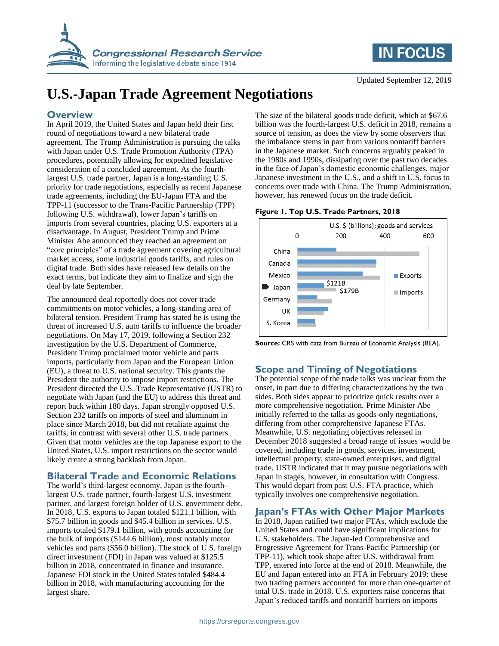



# **U.S.-Japan Trade Agreement Negotiations**

# **Overview**

In April 2019, the United States and Japan held their first round of negotiations toward a new bilateral trade agreement. The Trump Administration is pursuing the talks with Japan under U.S. Trade Promotion Authority (TPA) procedures, potentially allowing for expedited legislative consideration of a concluded agreement. As the fourthlargest U.S. trade partner, Japan is a long-standing U.S. priority for trade negotiations, especially as recent Japanese trade agreements, including the EU-Japan FTA and the TPP-11 (successor to the Trans-Pacific Partnership (TPP) following U.S. withdrawal), lower Japan's tariffs on imports from several countries, placing U.S. exporters at a disadvantage. In August, President Trump and Prime Minister Abe announced they reached an agreement on "core principles" of a trade agreement covering agricultural market access, some industrial goods tariffs, and rules on digital trade. Both sides have released few details on the exact terms, but indicate they aim to finalize and sign the deal by late September.

The announced deal reportedly does not cover trade commitments on motor vehicles, a long-standing area of bilateral tension. President Trump has stated he is using the threat of increased U.S. auto tariffs to influence the broader negotiations. On May 17, 2019, following a Section 232 investigation by the U.S. Department of Commerce, President Trump proclaimed motor vehicle and parts imports, particularly from Japan and the European Union (EU), a threat to U.S. national security. This grants the President the authority to impose import restrictions. The President directed the U.S. Trade Representative (USTR) to negotiate with Japan (and the EU) to address this threat and report back within 180 days. Japan strongly opposed U.S. Section 232 tariffs on imports of steel and aluminum in place since March 2018, but did not retaliate against the tariffs, in contrast with several other U.S. trade partners. Given that motor vehicles are the top Japanese export to the United States, U.S. import restrictions on the sector would likely create a strong backlash from Japan.

# **Bilateral Trade and Economic Relations**

The world's third-largest economy, Japan is the fourthlargest U.S. trade partner, fourth-largest U.S. investment partner, and largest foreign holder of U.S. government debt. In 2018, U.S. exports to Japan totaled \$121.1 billion, with \$75.7 billion in goods and \$45.4 billion in services. U.S. imports totaled \$179.1 billion, with goods accounting for the bulk of imports (\$144.6 billion), most notably motor vehicles and parts (\$56.0 billion). The stock of U.S. foreign direct investment (FDI) in Japan was valued at \$125.5 billion in 2018, concentrated in finance and insurance. Japanese FDI stock in the United States totaled \$484.4 billion in 2018, with manufacturing accounting for the largest share.

The size of the bilateral goods trade deficit, which at \$67.6 billion was the fourth-largest U.S. deficit in 2018, remains a source of tension, as does the view by some observers that the imbalance stems in part from various nontariff barriers in the Japanese market. Such concerns arguably peaked in the 1980s and 1990s, dissipating over the past two decades in the face of Japan's domestic economic challenges, major Japanese investment in the U.S., and a shift in U.S. focus to concerns over trade with China. The Trump Administration, however, has renewed focus on the trade deficit.

## **Figure 1. Top U.S. Trade Partners, 2018**



**Source:** CRS with data from Bureau of Economic Analysis (BEA).

# **Scope and Timing of Negotiations**

The potential scope of the trade talks was unclear from the onset, in part due to differing characterizations by the two sides. Both sides appear to prioritize quick results over a more comprehensive negotiation. Prime Minister Abe initially referred to the talks as goods-only negotiations, differing from other comprehensive Japanese FTAs. Meanwhile, U.S. negotiating objectives released in December 2018 suggested a broad range of issues would be covered, including trade in goods, services, investment, intellectual property, state-owned enterprises, and digital trade. USTR indicated that it may pursue negotiations with Japan in stages, however, in consultation with Congress. This would depart from past U.S. FTA practice, which typically involves one comprehensive negotiation.

## **Japan's FTAs with Other Major Markets**

In 2018, Japan ratified two major FTAs, which exclude the United States and could have significant implications for U.S. stakeholders. The Japan-led Comprehensive and Progressive Agreement for Trans-Pacific Partnership (or TPP-11), which took shape after U.S. withdrawal from TPP, entered into force at the end of 2018. Meanwhile, the EU and Japan entered into an FTA in February 2019: these two trading partners accounted for more than one-quarter of total U.S. trade in 2018. U.S. exporters raise concerns that Japan's reduced tariffs and nontariff barriers on imports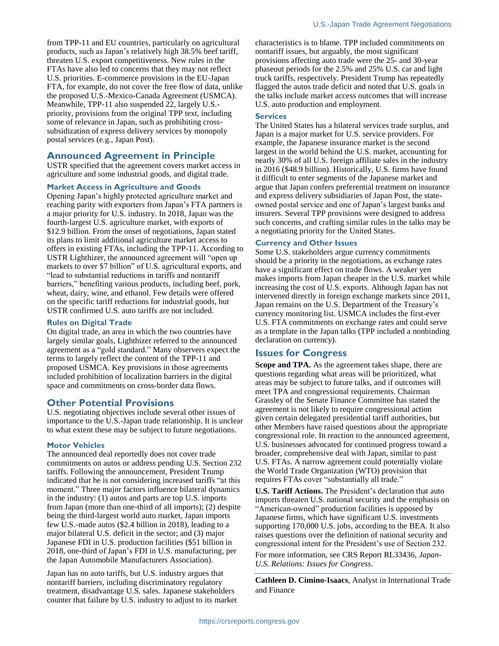from TPP-11 and EU countries, particularly on agricultural products, such as Japan's relatively high 38.5% beef tariff, threaten U.S. export competitiveness. New rules in the FTAs have also led to concerns that they may not reflect U.S. priorities. E-commerce provisions in the EU-Japan FTA, for example, do not cover the free flow of data, unlike the proposed U.S.-Mexico-Canada Agreement (USMCA). Meanwhile, TPP-11 also suspended 22, largely U.S. priority, provisions from the original TPP text, including some of relevance in Japan, such as prohibiting crosssubsidization of express delivery services by monopoly postal services (e.g., Japan Post).

## **Announced Agreement in Principle**

USTR specified that the agreement covers market access in agriculture and some industrial goods, and digital trade.

#### **Market Access in Agriculture and Goods**

Opening Japan's highly protected agriculture market and reaching parity with exporters from Japan's FTA partners is a major priority for U.S. industry. In 2018, Japan was the fourth-largest U.S. agriculture market, with exports of \$12.9 billion. From the onset of negotiations, Japan stated its plans to limit additional agriculture market access to offers in existing FTAs, including the TPP-11. According to USTR Lighthizer, the announced agreement will "open up markets to over \$7 billion" of U.S. agricultural exports, and "lead to substantial reductions in tariffs and nontariff barriers," benefiting various products, including beef, pork, wheat, dairy, wine, and ethanol. Few details were offered on the specific tariff reductions for industrial goods, but USTR confirmed U.S. auto tariffs are not included.

#### **Rules on Digital Trade**

On digital trade, an area in which the two countries have largely similar goals, Lighthizer referred to the announced agreement as a "gold standard." Many observers expect the terms to largely reflect the content of the TPP-11 and proposed USMCA. Key provisions in those agreements included prohibition of localization barriers in the digital space and commitments on cross-border data flows.

## **Other Potential Provisions**

U.S. negotiating objectives include several other issues of importance to the U.S.-Japan trade relationship. It is unclear to what extent these may be subject to future negotiations.

#### **Motor Vehicles**

The announced deal reportedly does not cover trade commitments on autos or address pending U.S. Section 232 tariffs. Following the announcement, President Trump indicated that he is not considering increased tariffs "at this moment." Three major factors influence bilateral dynamics in the industry: (1) autos and parts are top U.S. imports from Japan (more than one-third of all imports); (2) despite being the third-largest world auto market, Japan imports few U.S.-made autos (\$2.4 billion in 2018), leading to a major bilateral U.S. deficit in the sector; and (3) major Japanese FDI in U.S. production facilities (\$51 billion in 2018, one-third of Japan's FDI in U.S. manufacturing, per the Japan Automobile Manufacturers Association).

Japan has no auto tariffs, but U.S. industry argues that nontariff barriers, including discriminatory regulatory treatment, disadvantage U.S. sales. Japanese stakeholders counter that failure by U.S. industry to adjust to its market characteristics is to blame. TPP included commitments on nontariff issues, but arguably, the most significant provisions affecting auto trade were the 25- and 30-year phaseout periods for the 2.5% and 25% U.S. car and light truck tariffs, respectively. President Trump has repeatedly flagged the autos trade deficit and noted that U.S. goals in the talks include market access outcomes that will increase U.S. auto production and employment.

#### **Services**

The United States has a bilateral services trade surplus, and Japan is a major market for U.S. service providers. For example, the Japanese insurance market is the second largest in the world behind the U.S. market, accounting for nearly 30% of all U.S. foreign affiliate sales in the industry in 2016 (\$48.9 billion). Historically, U.S. firms have found it difficult to enter segments of the Japanese market and argue that Japan confers preferential treatment on insurance and express delivery subsidiaries of Japan Post, the stateowned postal service and one of Japan's largest banks and insurers. Several TPP provisions were designed to address such concerns, and crafting similar rules in the talks may be a negotiating priority for the United States.

#### **Currency and Other Issues**

Some U.S. stakeholders argue currency commitments should be a priority in the negotiations, as exchange rates have a significant effect on trade flows. A weaker yen makes imports from Japan cheaper in the U.S. market while increasing the cost of U.S. exports. Although Japan has not intervened directly in foreign exchange markets since 2011, Japan remains on the U.S. Department of the Treasury's currency monitoring list. USMCA includes the first-ever U.S. FTA commitments on exchange rates and could serve as a template in the Japan talks (TPP included a nonbinding declaration on currency).

## **Issues for Congress**

**Scope and TPA.** As the agreement takes shape, there are questions regarding what areas will be prioritized, what areas may be subject to future talks, and if outcomes will meet TPA and congressional requirements. Chairman Grassley of the Senate Finance Committee has stated the agreement is not likely to require congressional action given certain delegated presidential tariff authorities, but other Members have raised questions about the appropriate congressional role. In reaction to the announced agreement, U.S. businesses advocated for continued progress toward a broader, comprehensive deal with Japan, similar to past U.S. FTAs. A narrow agreement could potentially violate the World Trade Organization (WTO) provision that requires FTAs cover "substantially all trade."

**U.S. Tariff Actions.** The President's declaration that auto imports threaten U.S. national security and the emphasis on "American-owned" production facilities is opposed by Japanese firms, which have significant U.S. investments supporting 170,000 U.S. jobs, according to the BEA. It also raises questions over the definition of national security and congressional intent for the President's use of Section 232.

For more information, see CRS Report RL33436, *Japan-U.S. Relations: Issues for Congress*.

**Cathleen D. Cimino-Isaacs**, Analyst in International Trade and Finance